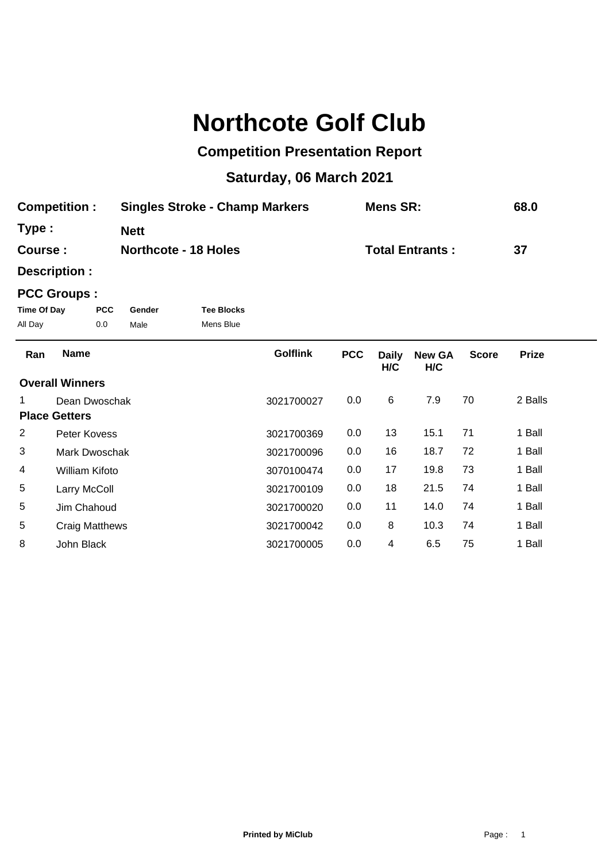## **Northcote Golf Club**

## **Competition Presentation Report**

## **Saturday, 06 March 2021**

| <b>Competition:</b> | <b>Singles Stroke - Champ Markers</b> | Mens SR:               | 68.0 |
|---------------------|---------------------------------------|------------------------|------|
| Type:               | <b>Nett</b>                           |                        |      |
| Course :            | <b>Northcote - 18 Holes</b>           | <b>Total Entrants:</b> | -37  |

**Description :**

## **PCC Groups :**

| Time Of Day | <b>PCC</b> | Gender | <b>Tee Blocks</b> |
|-------------|------------|--------|-------------------|
| All Day     | 0.0        | Male   | Mens Blue         |

| Ran | <b>Name</b>            | <b>Golflink</b> | <b>PCC</b> | <b>Daily</b><br>H/C | <b>New GA</b><br>H/C | <b>Score</b> | <b>Prize</b> |
|-----|------------------------|-----------------|------------|---------------------|----------------------|--------------|--------------|
|     | <b>Overall Winners</b> |                 |            |                     |                      |              |              |
|     | Dean Dwoschak          | 3021700027      | 0.0        | 6                   | 7.9                  | 70           | 2 Balls      |
|     | <b>Place Getters</b>   |                 |            |                     |                      |              |              |
| 2   | Peter Kovess           | 3021700369      | 0.0        | 13                  | 15.1                 | 71           | 1 Ball       |
| 3   | Mark Dwoschak          | 3021700096      | 0.0        | 16                  | 18.7                 | 72           | 1 Ball       |
| 4   | William Kifoto         | 3070100474      | 0.0        | 17                  | 19.8                 | 73           | 1 Ball       |
| 5   | Larry McColl           | 3021700109      | 0.0        | 18                  | 21.5                 | 74           | 1 Ball       |
| 5   | Jim Chahoud            | 3021700020      | 0.0        | 11                  | 14.0                 | 74           | 1 Ball       |
| 5   | Craig Matthews         | 3021700042      | 0.0        | 8                   | 10.3                 | 74           | 1 Ball       |
| 8   | John Black             | 3021700005      | 0.0        | 4                   | 6.5                  | 75           | 1 Ball       |